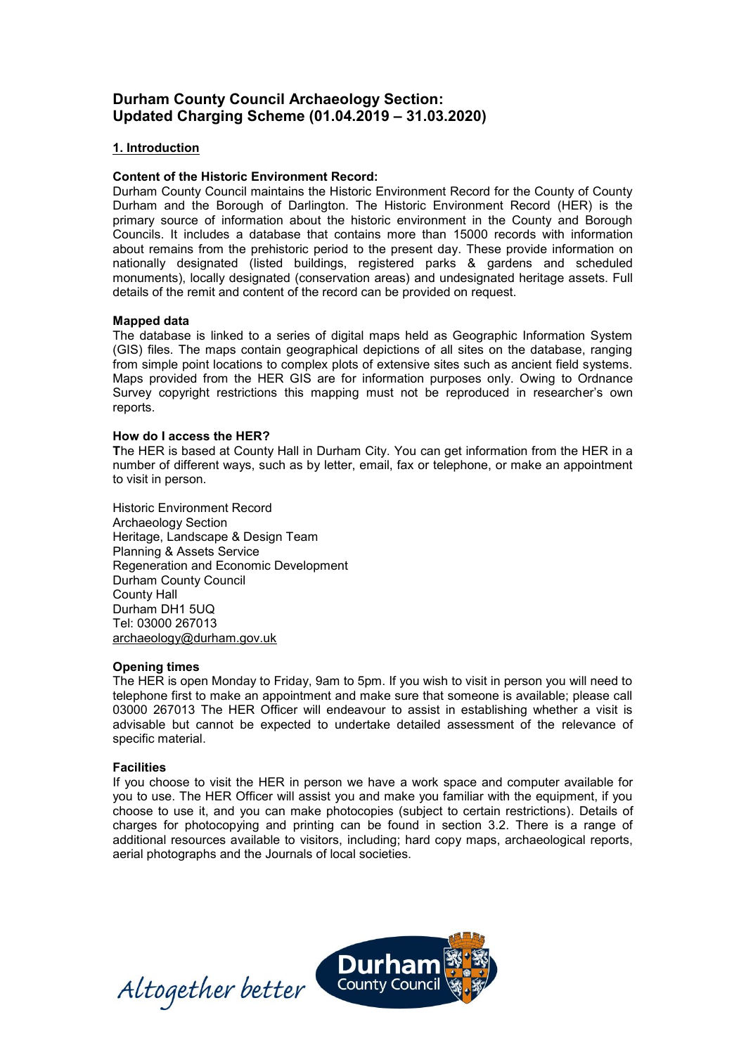# **Durham County Council Archaeology Section: Updated Charging Scheme (01.04.2019 – 31.03.2020)**

# **1. Introduction**

# **Content of the Historic Environment Record:**

Durham County Council maintains the Historic Environment Record for the County of County Durham and the Borough of Darlington. The Historic Environment Record (HER) is the primary source of information about the historic environment in the County and Borough Councils. It includes a database that contains more than 15000 records with information about remains from the prehistoric period to the present day. These provide information on nationally designated (listed buildings, registered parks & gardens and scheduled monuments), locally designated (conservation areas) and undesignated heritage assets. Full details of the remit and content of the record can be provided on request.

## **Mapped data**

The database is linked to a series of digital maps held as Geographic Information System (GIS) files. The maps contain geographical depictions of all sites on the database, ranging from simple point locations to complex plots of extensive sites such as ancient field systems. Maps provided from the HER GIS are for information purposes only. Owing to Ordnance Survey copyright restrictions this mapping must not be reproduced in researcher's own reports.

#### **How do I access the HER?**

**T**he HER is based at County Hall in Durham City. You can get information from the HER in a number of different ways, such as by letter, email, fax or telephone, or make an appointment to visit in person.

Historic Environment Record Archaeology Section Heritage, Landscape & Design Team Planning & Assets Service Regeneration and Economic Development Durham County Council County Hall Durham DH1 5UQ Tel: 03000 267013 [archaeology@durham.gov.uk](mailto:archaeology@durham.gov.uk)

## **Opening times**

The HER is open Monday to Friday, 9am to 5pm. If you wish to visit in person you will need to telephone first to make an appointment and make sure that someone is available; please call 03000 267013 The HER Officer will endeavour to assist in establishing whether a visit is advisable but cannot be expected to undertake detailed assessment of the relevance of specific material.

## **Facilities**

If you choose to visit the HER in person we have a work space and computer available for you to use. The HER Officer will assist you and make you familiar with the equipment, if you choose to use it, and you can make photocopies (subject to certain restrictions). Details of charges for photocopying and printing can be found in section 3.2. There is a range of additional resources available to visitors, including; hard copy maps, archaeological reports, aerial photographs and the Journals of local societies.



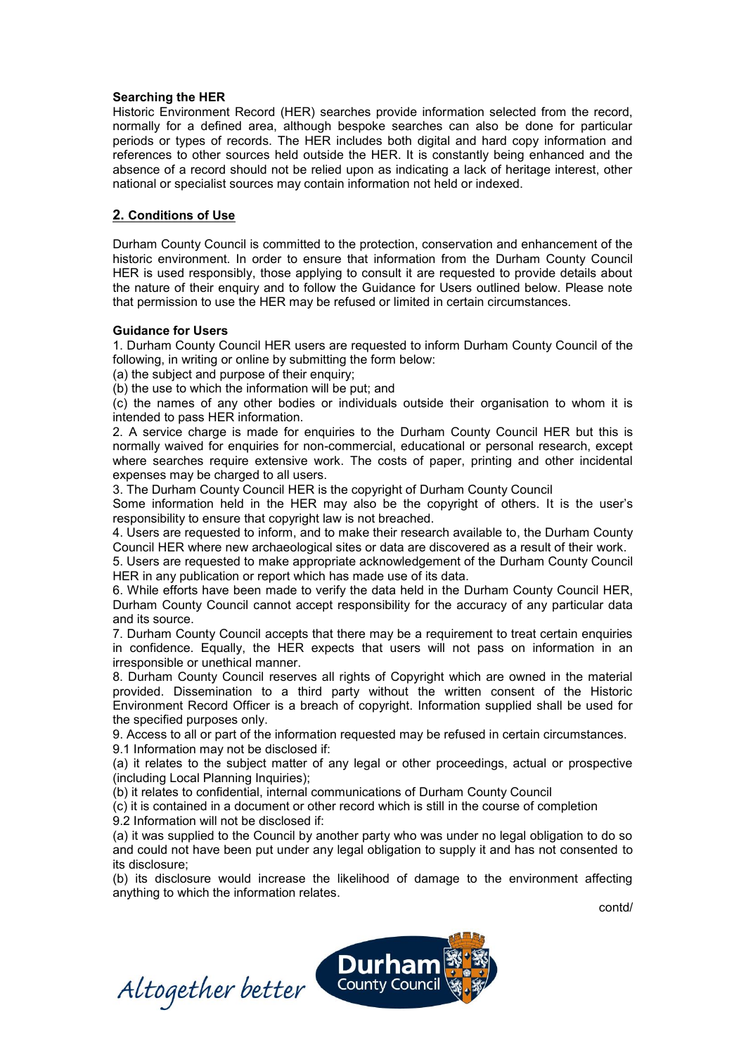## **Searching the HER**

Historic Environment Record (HER) searches provide information selected from the record, normally for a defined area, although bespoke searches can also be done for particular periods or types of records. The HER includes both digital and hard copy information and references to other sources held outside the HER. It is constantly being enhanced and the absence of a record should not be relied upon as indicating a lack of heritage interest, other national or specialist sources may contain information not held or indexed.

# **2. Conditions of Use**

Durham County Council is committed to the protection, conservation and enhancement of the historic environment. In order to ensure that information from the Durham County Council HER is used responsibly, those applying to consult it are requested to provide details about the nature of their enquiry and to follow the Guidance for Users outlined below. Please note that permission to use the HER may be refused or limited in certain circumstances.

## **Guidance for Users**

1. Durham County Council HER users are requested to inform Durham County Council of the following, in writing or online by submitting the form below:

(a) the subject and purpose of their enquiry;

(b) the use to which the information will be put; and

(c) the names of any other bodies or individuals outside their organisation to whom it is intended to pass HER information.

2. A service charge is made for enquiries to the Durham County Council HER but this is normally waived for enquiries for non-commercial, educational or personal research, except where searches require extensive work. The costs of paper, printing and other incidental expenses may be charged to all users.

3. The Durham County Council HER is the copyright of Durham County Council

Some information held in the HER may also be the copyright of others. It is the user's responsibility to ensure that copyright law is not breached.

4. Users are requested to inform, and to make their research available to, the Durham County Council HER where new archaeological sites or data are discovered as a result of their work.

5. Users are requested to make appropriate acknowledgement of the Durham County Council HER in any publication or report which has made use of its data.

6. While efforts have been made to verify the data held in the Durham County Council HER, Durham County Council cannot accept responsibility for the accuracy of any particular data and its source.

7. Durham County Council accepts that there may be a requirement to treat certain enquiries in confidence. Equally, the HER expects that users will not pass on information in an irresponsible or unethical manner.

8. Durham County Council reserves all rights of Copyright which are owned in the material provided. Dissemination to a third party without the written consent of the Historic Environment Record Officer is a breach of copyright. Information supplied shall be used for the specified purposes only.

9. Access to all or part of the information requested may be refused in certain circumstances.

9.1 Information may not be disclosed if:

(a) it relates to the subject matter of any legal or other proceedings, actual or prospective (including Local Planning Inquiries);

(b) it relates to confidential, internal communications of Durham County Council

(c) it is contained in a document or other record which is still in the course of completion 9.2 Information will not be disclosed if:

(a) it was supplied to the Council by another party who was under no legal obligation to do so and could not have been put under any legal obligation to supply it and has not consented to its disclosure;

(b) its disclosure would increase the likelihood of damage to the environment affecting anything to which the information relates.

contd/

Altogether better County Council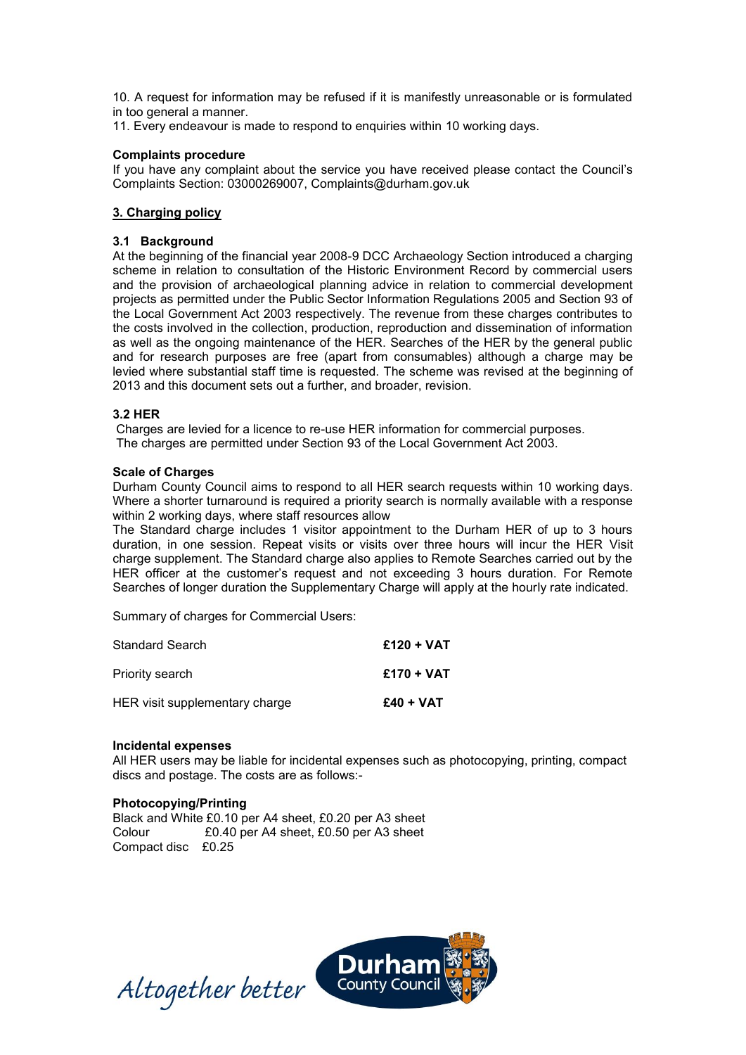10. A request for information may be refused if it is manifestly unreasonable or is formulated in too general a manner.

11. Every endeavour is made to respond to enquiries within 10 working days.

#### **Complaints procedure**

If you have any complaint about the service you have received please contact the Council's Complaints Section: 03000269007, [Complaints@durham.gov.uk](mailto:Complaints@durham.gov.uk)

## **3. Charging policy**

## **3.1 Background**

At the beginning of the financial year 2008-9 DCC Archaeology Section introduced a charging scheme in relation to consultation of the Historic Environment Record by commercial users and the provision of archaeological planning advice in relation to commercial development projects as permitted under the Public Sector Information Regulations 2005 and Section 93 of the Local Government Act 2003 respectively. The revenue from these charges contributes to the costs involved in the collection, production, reproduction and dissemination of information as well as the ongoing maintenance of the HER. Searches of the HER by the general public and for research purposes are free (apart from consumables) although a charge may be levied where substantial staff time is requested. The scheme was revised at the beginning of 2013 and this document sets out a further, and broader, revision.

## **3.2 HER**

Charges are levied for a licence to re-use HER information for commercial purposes. The charges are permitted under Section 93 of the Local Government Act 2003.

#### **Scale of Charges**

Durham County Council aims to respond to all HER search requests within 10 working days. Where a shorter turnaround is required a priority search is normally available with a response within 2 working days, where staff resources allow

The Standard charge includes 1 visitor appointment to the Durham HER of up to 3 hours duration, in one session. Repeat visits or visits over three hours will incur the HER Visit charge supplement. The Standard charge also applies to Remote Searches carried out by the HER officer at the customer's request and not exceeding 3 hours duration. For Remote Searches of longer duration the Supplementary Charge will apply at the hourly rate indicated.

Summary of charges for Commercial Users:

| <b>Standard Search</b>         | $£120 + VAT$ |
|--------------------------------|--------------|
| Priority search                | $£170 + VAT$ |
| HER visit supplementary charge | $£40 + VAT$  |

#### **Incidental expenses**

All HER users may be liable for incidental expenses such as photocopying, printing, compact discs and postage. The costs are as follows:-

## **Photocopying/Printing**

Black and White £0.10 per A4 sheet, £0.20 per A3 sheet Colour £0.40 per A4 sheet, £0.50 per A3 sheet Compact disc £0.25

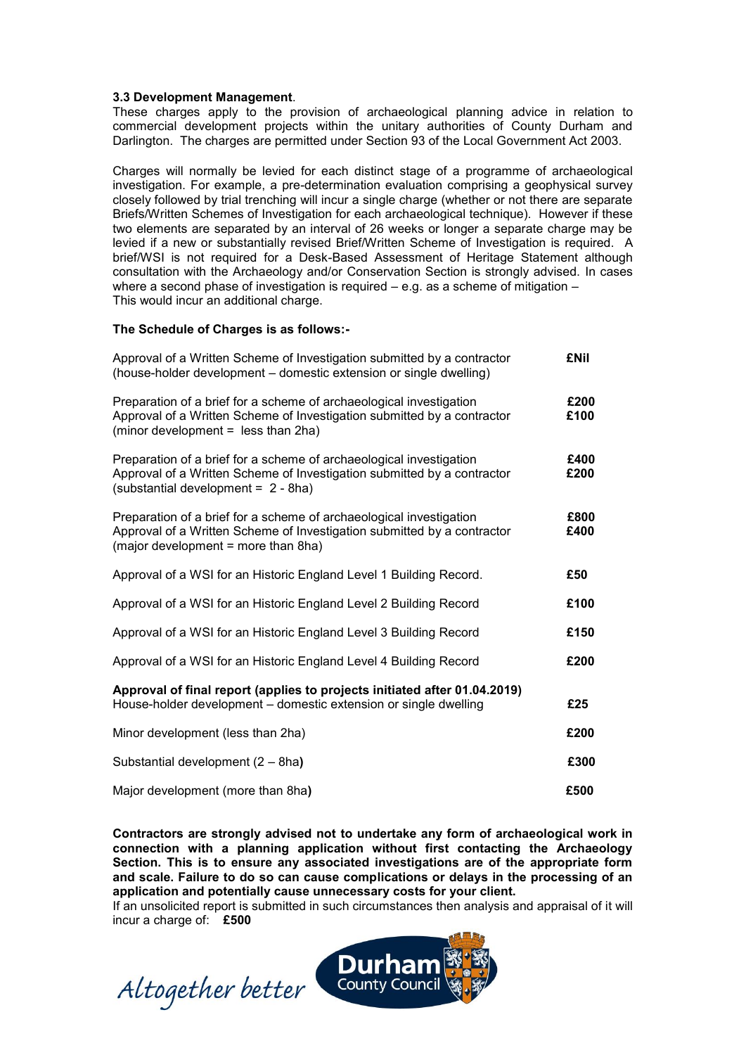#### **3.3 Development Management**.

These charges apply to the provision of archaeological planning advice in relation to commercial development projects within the unitary authorities of County Durham and Darlington. The charges are permitted under Section 93 of the Local Government Act 2003.

Charges will normally be levied for each distinct stage of a programme of archaeological investigation. For example, a pre-determination evaluation comprising a geophysical survey closely followed by trial trenching will incur a single charge (whether or not there are separate Briefs/Written Schemes of Investigation for each archaeological technique). However if these two elements are separated by an interval of 26 weeks or longer a separate charge may be levied if a new or substantially revised Brief/Written Scheme of Investigation is required. A brief/WSI is not required for a Desk-Based Assessment of Heritage Statement although consultation with the Archaeology and/or Conservation Section is strongly advised. In cases where a second phase of investigation is required – e.g. as a scheme of mitigation – This would incur an additional charge.

#### **The Schedule of Charges is as follows:-**

| Approval of a Written Scheme of Investigation submitted by a contractor<br>(house-holder development - domestic extension or single dwelling)                                         | <b>£Nil</b>  |
|---------------------------------------------------------------------------------------------------------------------------------------------------------------------------------------|--------------|
| Preparation of a brief for a scheme of archaeological investigation<br>Approval of a Written Scheme of Investigation submitted by a contractor<br>(minor development = less than 2ha) | £200<br>£100 |
| Preparation of a brief for a scheme of archaeological investigation<br>Approval of a Written Scheme of Investigation submitted by a contractor<br>(substantial development = 2 - 8ha) | £400<br>£200 |
| Preparation of a brief for a scheme of archaeological investigation<br>Approval of a Written Scheme of Investigation submitted by a contractor<br>(major development = more than 8ha) | £800<br>£400 |
| Approval of a WSI for an Historic England Level 1 Building Record.                                                                                                                    | £50          |
| Approval of a WSI for an Historic England Level 2 Building Record                                                                                                                     | £100         |
| Approval of a WSI for an Historic England Level 3 Building Record                                                                                                                     | £150         |
| Approval of a WSI for an Historic England Level 4 Building Record                                                                                                                     | £200         |
| Approval of final report (applies to projects initiated after 01.04.2019)<br>House-holder development - domestic extension or single dwelling                                         | £25          |
| Minor development (less than 2ha)                                                                                                                                                     | £200         |
| Substantial development (2 - 8ha)                                                                                                                                                     | £300         |
| Major development (more than 8ha)                                                                                                                                                     | £500         |

**Contractors are strongly advised not to undertake any form of archaeological work in connection with a planning application without first contacting the Archaeology Section. This is to ensure any associated investigations are of the appropriate form and scale. Failure to do so can cause complications or delays in the processing of an application and potentially cause unnecessary costs for your client.** 

If an unsolicited report is submitted in such circumstances then analysis and appraisal of it will incur a charge of: **£500**

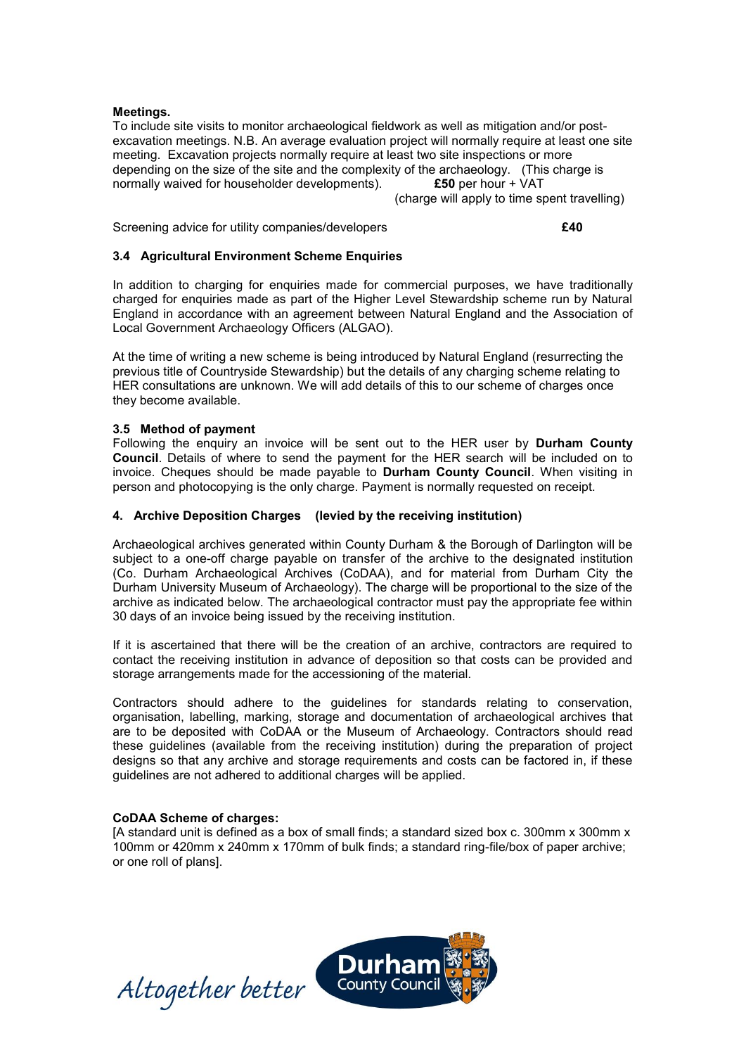## **Meetings.**

To include site visits to monitor archaeological fieldwork as well as mitigation and/or postexcavation meetings. N.B. An average evaluation project will normally require at least one site meeting. Excavation projects normally require at least two site inspections or more depending on the size of the site and the complexity of the archaeology. (This charge is normally waived for householder developments).  $\pmb{\text{£50}}$  per hour + VAT normally waived for householder developments). **£50** per hour + VAT

(charge will apply to time spent travelling)

Screening advice for utility companies/developers **£40**

# **3.4 Agricultural Environment Scheme Enquiries**

In addition to charging for enquiries made for commercial purposes, we have traditionally charged for enquiries made as part of the Higher Level Stewardship scheme run by Natural England in accordance with an agreement between Natural England and the Association of Local Government Archaeology Officers (ALGAO).

At the time of writing a new scheme is being introduced by Natural England (resurrecting the previous title of Countryside Stewardship) but the details of any charging scheme relating to HER consultations are unknown. We will add details of this to our scheme of charges once they become available.

## **3.5 Method of payment**

Following the enquiry an invoice will be sent out to the HER user by **Durham County Council**. Details of where to send the payment for the HER search will be included on to invoice. Cheques should be made payable to **Durham County Council**. When visiting in person and photocopying is the only charge. Payment is normally requested on receipt.

## **4. Archive Deposition Charges (levied by the receiving institution)**

Archaeological archives generated within County Durham & the Borough of Darlington will be subject to a one-off charge payable on transfer of the archive to the designated institution (Co. Durham Archaeological Archives (CoDAA), and for material from Durham City the Durham University Museum of Archaeology). The charge will be proportional to the size of the archive as indicated below. The archaeological contractor must pay the appropriate fee within 30 days of an invoice being issued by the receiving institution.

If it is ascertained that there will be the creation of an archive, contractors are required to contact the receiving institution in advance of deposition so that costs can be provided and storage arrangements made for the accessioning of the material.

Contractors should adhere to the guidelines for standards relating to conservation, organisation, labelling, marking, storage and documentation of archaeological archives that are to be deposited with CoDAA or the Museum of Archaeology. Contractors should read these guidelines (available from the receiving institution) during the preparation of project designs so that any archive and storage requirements and costs can be factored in, if these guidelines are not adhered to additional charges will be applied.

## **CoDAA Scheme of charges:**

[A standard unit is defined as a box of small finds; a standard sized box c. 300mm x 300mm x 100mm or 420mm x 240mm x 170mm of bulk finds; a standard ring-file/box of paper archive; or one roll of plans].